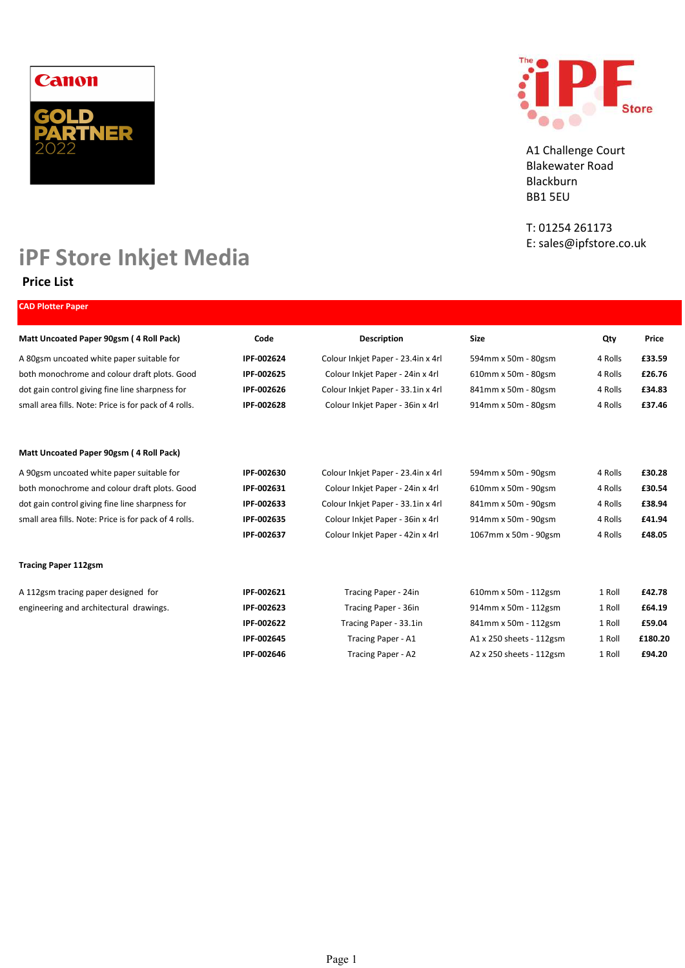



A1 Challenge Court Blakewater Road Blackburn BB1 5EU

T: 01254 261173 E: sales@ipfstore.co.uk

# iPF Store Inkjet Media

## Price List

| <b>CAD Plotter Paper</b>                              |            |                                    |                          |         |         |
|-------------------------------------------------------|------------|------------------------------------|--------------------------|---------|---------|
| Matt Uncoated Paper 90gsm (4 Roll Pack)               | Code       | <b>Description</b>                 | <b>Size</b>              | Qty     | Price   |
| A 80gsm uncoated white paper suitable for             | IPF-002624 | Colour Inkjet Paper - 23.4in x 4rl | 594mm x 50m - 80gsm      | 4 Rolls | £33.59  |
| both monochrome and colour draft plots. Good          | IPF-002625 | Colour Inkjet Paper - 24in x 4rl   | 610mm x 50m - 80gsm      | 4 Rolls | £26.76  |
| dot gain control giving fine line sharpness for       | IPF-002626 | Colour Inkjet Paper - 33.1in x 4rl | 841mm x 50m - 80gsm      | 4 Rolls | £34.83  |
| small area fills. Note: Price is for pack of 4 rolls. | IPF-002628 | Colour Inkjet Paper - 36in x 4rl   | 914mm x 50m - 80gsm      | 4 Rolls | £37.46  |
| Matt Uncoated Paper 90gsm (4 Roll Pack)               |            |                                    |                          |         |         |
| A 90gsm uncoated white paper suitable for             | IPF-002630 | Colour Inkjet Paper - 23.4in x 4rl | 594mm x 50m - 90gsm      | 4 Rolls | £30.28  |
| both monochrome and colour draft plots. Good          | IPF-002631 | Colour Inkjet Paper - 24in x 4rl   | 610mm x 50m - 90gsm      | 4 Rolls | £30.54  |
| dot gain control giving fine line sharpness for       | IPF-002633 | Colour Inkjet Paper - 33.1in x 4rl | 841mm x 50m - 90gsm      | 4 Rolls | £38.94  |
| small area fills. Note: Price is for pack of 4 rolls. | IPF-002635 | Colour Inkjet Paper - 36in x 4rl   | 914mm x 50m - 90gsm      | 4 Rolls | £41.94  |
|                                                       | IPF-002637 | Colour Inkjet Paper - 42in x 4rl   | 1067mm x 50m - 90gsm     | 4 Rolls | £48.05  |
| <b>Tracing Paper 112gsm</b>                           |            |                                    |                          |         |         |
| A 112gsm tracing paper designed for                   | IPF-002621 | Tracing Paper - 24in               | 610mm x 50m - 112gsm     | 1 Roll  | £42.78  |
| engineering and architectural drawings.               | IPF-002623 | Tracing Paper - 36in               | 914mm x 50m - 112gsm     | 1 Roll  | £64.19  |
|                                                       | IPF-002622 | Tracing Paper - 33.1in             | 841mm x 50m - 112gsm     | 1 Roll  | £59.04  |
|                                                       | IPF-002645 | Tracing Paper - A1                 | A1 x 250 sheets - 112gsm | 1 Roll  | £180.20 |
|                                                       | IPF-002646 | Tracing Paper - A2                 | A2 x 250 sheets - 112gsm | 1 Roll  | £94.20  |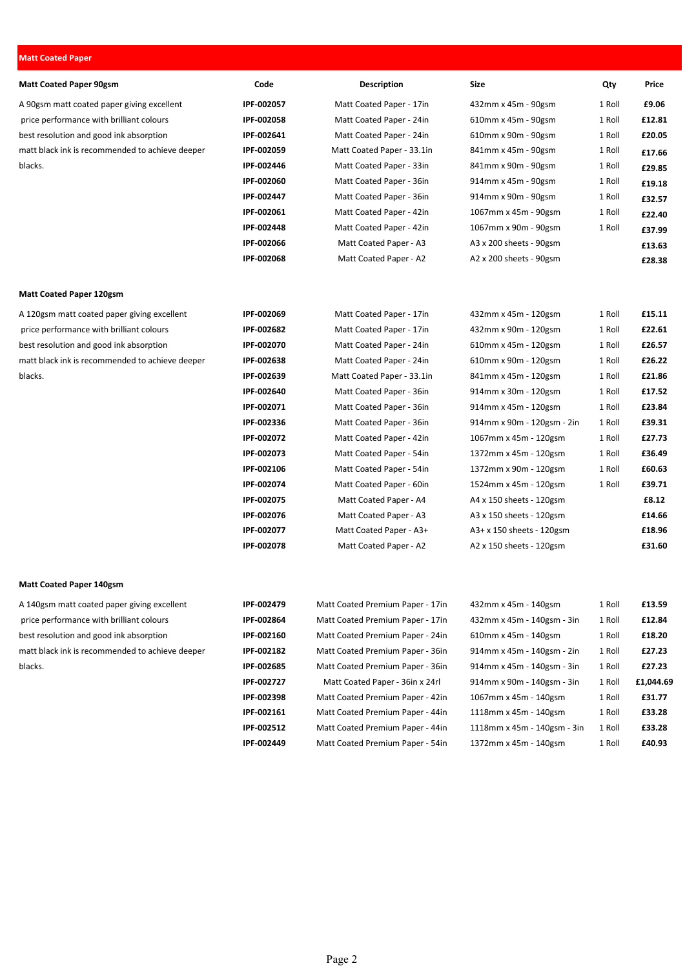### Matt Coated Paper

| <b>Matt Coated Paper 90gsm</b>                  | Code       | <b>Description</b>               | Size                        | Qty    | Price     |
|-------------------------------------------------|------------|----------------------------------|-----------------------------|--------|-----------|
| A 90gsm matt coated paper giving excellent      | IPF-002057 | Matt Coated Paper - 17in         | 432mm x 45m - 90gsm         | 1 Roll | £9.06     |
| price performance with brilliant colours        | IPF-002058 | Matt Coated Paper - 24in         | 610mm x 45m - 90gsm         | 1 Roll | £12.81    |
| best resolution and good ink absorption         | IPF-002641 | Matt Coated Paper - 24in         | 610mm x 90m - 90gsm         | 1 Roll | £20.05    |
| matt black ink is recommended to achieve deeper | IPF-002059 | Matt Coated Paper - 33.1in       | 841mm x 45m - 90gsm         | 1 Roll | £17.66    |
| blacks.                                         | IPF-002446 | Matt Coated Paper - 33in         | 841mm x 90m - 90gsm         | 1 Roll | £29.85    |
|                                                 | IPF-002060 | Matt Coated Paper - 36in         | 914mm x 45m - 90gsm         | 1 Roll | £19.18    |
|                                                 | IPF-002447 | Matt Coated Paper - 36in         | 914mm x 90m - 90gsm         | 1 Roll | £32.57    |
|                                                 | IPF-002061 | Matt Coated Paper - 42in         | 1067mm x 45m - 90gsm        | 1 Roll | £22.40    |
|                                                 | IPF-002448 | Matt Coated Paper - 42in         | 1067mm x 90m - 90gsm        | 1 Roll | £37.99    |
|                                                 | IPF-002066 | Matt Coated Paper - A3           | A3 x 200 sheets - 90gsm     |        | £13.63    |
|                                                 | IPF-002068 | Matt Coated Paper - A2           | A2 x 200 sheets - 90gsm     |        | £28.38    |
| <b>Matt Coated Paper 120gsm</b>                 |            |                                  |                             |        |           |
| A 120gsm matt coated paper giving excellent     | IPF-002069 | Matt Coated Paper - 17in         | 432mm x 45m - 120gsm        | 1 Roll | £15.11    |
| price performance with brilliant colours        | IPF-002682 | Matt Coated Paper - 17in         | 432mm x 90m - 120gsm        | 1 Roll | £22.61    |
| best resolution and good ink absorption         | IPF-002070 | Matt Coated Paper - 24in         | 610mm x 45m - 120gsm        | 1 Roll | £26.57    |
| matt black ink is recommended to achieve deeper | IPF-002638 | Matt Coated Paper - 24in         | 610mm x 90m - 120gsm        | 1 Roll | £26.22    |
| blacks.                                         | IPF-002639 | Matt Coated Paper - 33.1in       | 841mm x 45m - 120gsm        | 1 Roll | £21.86    |
|                                                 | IPF-002640 | Matt Coated Paper - 36in         | 914mm x 30m - 120gsm        | 1 Roll | £17.52    |
|                                                 | IPF-002071 | Matt Coated Paper - 36in         | 914mm x 45m - 120gsm        | 1 Roll | £23.84    |
|                                                 | IPF-002336 | Matt Coated Paper - 36in         | 914mm x 90m - 120gsm - 2in  | 1 Roll | £39.31    |
|                                                 | IPF-002072 | Matt Coated Paper - 42in         | 1067mm x 45m - 120gsm       | 1 Roll | £27.73    |
|                                                 | IPF-002073 | Matt Coated Paper - 54in         | 1372mm x 45m - 120gsm       | 1 Roll | £36.49    |
|                                                 | IPF-002106 | Matt Coated Paper - 54in         | 1372mm x 90m - 120gsm       | 1 Roll | £60.63    |
|                                                 | IPF-002074 | Matt Coated Paper - 60in         | 1524mm x 45m - 120gsm       | 1 Roll | £39.71    |
|                                                 | IPF-002075 | Matt Coated Paper - A4           | A4 x 150 sheets - 120gsm    |        | £8.12     |
|                                                 | IPF-002076 | Matt Coated Paper - A3           | A3 x 150 sheets - 120gsm    |        | £14.66    |
|                                                 | IPF-002077 | Matt Coated Paper - A3+          | A3+ x 150 sheets - 120gsm   |        | £18.96    |
|                                                 | IPF-002078 | Matt Coated Paper - A2           | A2 x 150 sheets - 120gsm    |        | £31.60    |
| <b>Matt Coated Paper 140gsm</b>                 |            |                                  |                             |        |           |
| A 140gsm matt coated paper giving excellent     | IPF-002479 | Matt Coated Premium Paper - 17in | 432mm x 45m - 140gsm        | 1 Roll | £13.59    |
| price performance with brilliant colours        | IPF-002864 | Matt Coated Premium Paper - 17in | 432mm x 45m - 140gsm - 3in  | 1 Roll | £12.84    |
| best resolution and good ink absorption         | IPF-002160 | Matt Coated Premium Paper - 24in | 610mm x 45m - 140gsm        | 1 Roll | £18.20    |
| matt black ink is recommended to achieve deeper | IPF-002182 | Matt Coated Premium Paper - 36in | 914mm x 45m - 140gsm - 2in  | 1 Roll | £27.23    |
| blacks.                                         | IPF-002685 | Matt Coated Premium Paper - 36in | 914mm x 45m - 140gsm - 3in  | 1 Roll | £27.23    |
|                                                 | IPF-002727 | Matt Coated Paper - 36in x 24rl  | 914mm x 90m - 140gsm - 3in  | 1 Roll | £1,044.69 |
|                                                 | IPF-002398 | Matt Coated Premium Paper - 42in | 1067mm x 45m - 140gsm       | 1 Roll | £31.77    |
|                                                 | IPF-002161 | Matt Coated Premium Paper - 44in | 1118mm x 45m - 140gsm       | 1 Roll | £33.28    |
|                                                 | IPF-002512 | Matt Coated Premium Paper - 44in | 1118mm x 45m - 140gsm - 3in | 1 Roll | £33.28    |

IPF-002449 Matt Coated Premium Paper - 54in 1372mm x 45m - 140gsm 1 Roll £40.93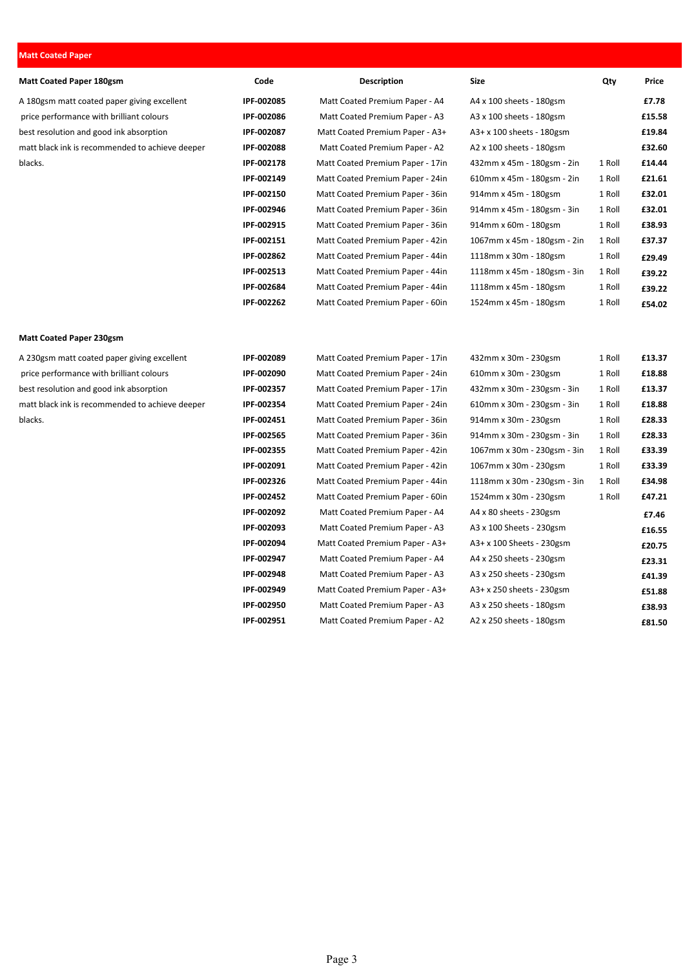#### Matt Coated Paper

| <b>Matt Coated Paper 180gsm</b>                 | Code       | <b>Description</b>               | <b>Size</b>                 | Qty    | Price  |
|-------------------------------------------------|------------|----------------------------------|-----------------------------|--------|--------|
| A 180gsm matt coated paper giving excellent     | IPF-002085 | Matt Coated Premium Paper - A4   | A4 x 100 sheets - 180gsm    |        | £7.78  |
| price performance with brilliant colours        | IPF-002086 | Matt Coated Premium Paper - A3   | A3 x 100 sheets - 180gsm    |        | £15.58 |
| best resolution and good ink absorption         | IPF-002087 | Matt Coated Premium Paper - A3+  | A3+ x 100 sheets - 180gsm   |        | £19.84 |
| matt black ink is recommended to achieve deeper | IPF-002088 | Matt Coated Premium Paper - A2   | A2 x 100 sheets - 180gsm    |        | £32.60 |
| blacks.                                         | IPF-002178 | Matt Coated Premium Paper - 17in | 432mm x 45m - 180gsm - 2in  | 1 Roll | £14.44 |
|                                                 | IPF-002149 | Matt Coated Premium Paper - 24in | 610mm x 45m - 180gsm - 2in  | 1 Roll | £21.61 |
|                                                 | IPF-002150 | Matt Coated Premium Paper - 36in | 914mm x 45m - 180gsm        | 1 Roll | £32.01 |
|                                                 | IPF-002946 | Matt Coated Premium Paper - 36in | 914mm x 45m - 180gsm - 3in  | 1 Roll | £32.01 |
|                                                 | IPF-002915 | Matt Coated Premium Paper - 36in | 914mm x 60m - 180gsm        | 1 Roll | £38.93 |
|                                                 | IPF-002151 | Matt Coated Premium Paper - 42in | 1067mm x 45m - 180gsm - 2in | 1 Roll | £37.37 |
|                                                 | IPF-002862 | Matt Coated Premium Paper - 44in | 1118mm x 30m - 180gsm       | 1 Roll | £29.49 |
|                                                 | IPF-002513 | Matt Coated Premium Paper - 44in | 1118mm x 45m - 180gsm - 3in | 1 Roll | £39.22 |
|                                                 | IPF-002684 | Matt Coated Premium Paper - 44in | 1118mm x 45m - 180gsm       | 1 Roll | £39.22 |
|                                                 | IPF-002262 | Matt Coated Premium Paper - 60in | 1524mm x 45m - 180gsm       | 1 Roll | £54.02 |
| <b>Matt Coated Paper 230gsm</b>                 |            |                                  |                             |        |        |
| A 230gsm matt coated paper giving excellent     | IPF-002089 | Matt Coated Premium Paper - 17in | 432mm x 30m - 230gsm        | 1 Roll | £13.37 |
| price performance with brilliant colours        | IPF-002090 | Matt Coated Premium Paper - 24in | 610mm x 30m - 230gsm        | 1 Roll | £18.88 |
| best resolution and good ink absorption         | IPF-002357 | Matt Coated Premium Paper - 17in | 432mm x 30m - 230gsm - 3in  | 1 Roll | £13.37 |
| matt black ink is recommended to achieve deeper | IPF-002354 | Matt Coated Premium Paper - 24in | 610mm x 30m - 230gsm - 3in  | 1 Roll | £18.88 |
| blacks.                                         | IPF-002451 | Matt Coated Premium Paper - 36in | 914mm x 30m - 230gsm        | 1 Roll | £28.33 |
|                                                 | IPF-002565 | Matt Coated Premium Paper - 36in | 914mm x 30m - 230gsm - 3in  | 1 Roll | £28.33 |
|                                                 | IPF-002355 | Matt Coated Premium Paper - 42in | 1067mm x 30m - 230gsm - 3in | 1 Roll | £33.39 |
|                                                 | IPF-002091 | Matt Coated Premium Paper - 42in | 1067mm x 30m - 230gsm       | 1 Roll | £33.39 |
|                                                 | IPF-002326 | Matt Coated Premium Paper - 44in | 1118mm x 30m - 230gsm - 3in | 1 Roll | £34.98 |
|                                                 | IPF-002452 | Matt Coated Premium Paper - 60in | 1524mm x 30m - 230gsm       | 1 Roll | £47.21 |
|                                                 | IPF-002092 | Matt Coated Premium Paper - A4   | A4 x 80 sheets - 230gsm     |        | £7.46  |
|                                                 | IPF-002093 | Matt Coated Premium Paper - A3   | A3 x 100 Sheets - 230gsm    |        | £16.55 |
|                                                 | IPF-002094 | Matt Coated Premium Paper - A3+  | A3+ x 100 Sheets - 230gsm   |        | £20.75 |
|                                                 | IPF-002947 | Matt Coated Premium Paper - A4   | A4 x 250 sheets - 230gsm    |        | £23.31 |
|                                                 | IPF-002948 | Matt Coated Premium Paper - A3   | A3 x 250 sheets - 230gsm    |        | £41.39 |

IPF-002949 Matt Coated Premium Paper - A3+ A3+ x 250 sheets - 230gsm **£51.88** IPF-002950 Matt Coated Premium Paper - A3 A3 x 250 sheets - 180gsm **£38.93** IPF-002951 Matt Coated Premium Paper - A2 A2 x 250 sheets - 180gsm **£81.50**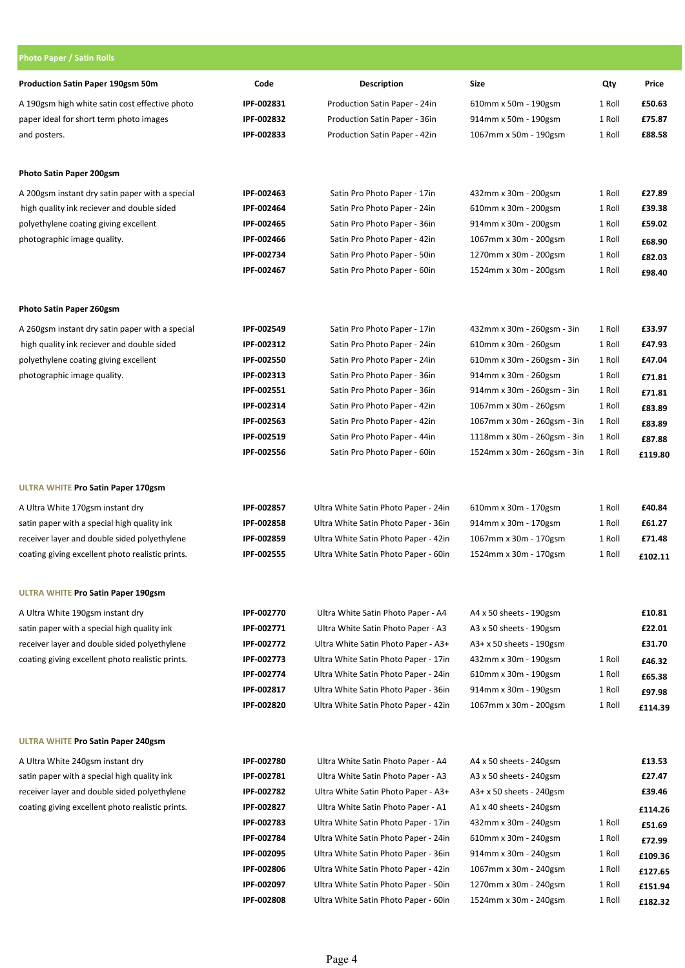| <b>Photo Paper / Satin Rolls</b>                 |            |                                      |                                |        |         |
|--------------------------------------------------|------------|--------------------------------------|--------------------------------|--------|---------|
| Production Satin Paper 190gsm 50m                | Code       | <b>Description</b>                   | <b>Size</b>                    | Qty    | Price   |
| A 190gsm high white satin cost effective photo   | IPF-002831 | Production Satin Paper - 24in        | 610mm x 50m - 190gsm           | 1 Roll | £50.63  |
| paper ideal for short term photo images          | IPF-002832 | Production Satin Paper - 36in        | 914mm x 50m - 190gsm           | 1 Roll | £75.87  |
| and posters.                                     | IPF-002833 | Production Satin Paper - 42in        | 1067mm x 50m - 190gsm          | 1 Roll | £88.58  |
| Photo Satin Paper 200gsm                         |            |                                      |                                |        |         |
| A 200gsm instant dry satin paper with a special  | IPF-002463 | Satin Pro Photo Paper - 17in         | 432mm x 30m - 200gsm           | 1 Roll | £27.89  |
| high quality ink reciever and double sided       | IPF-002464 | Satin Pro Photo Paper - 24in         | 610mm x 30m - 200gsm           | 1 Roll | £39.38  |
| polyethylene coating giving excellent            | IPF-002465 | Satin Pro Photo Paper - 36in         | 914mm x 30m - 200gsm           | 1 Roll | £59.02  |
| photographic image quality.                      | IPF-002466 | Satin Pro Photo Paper - 42in         | 1067mm x 30m - 200gsm          | 1 Roll | £68.90  |
|                                                  | IPF-002734 | Satin Pro Photo Paper - 50in         | 1270mm x 30m - 200gsm          | 1 Roll | £82.03  |
|                                                  | IPF-002467 | Satin Pro Photo Paper - 60in         | 1524mm x 30m - 200gsm          | 1 Roll | £98.40  |
| Photo Satin Paper 260gsm                         |            |                                      |                                |        |         |
| A 260gsm instant dry satin paper with a special  | IPF-002549 | Satin Pro Photo Paper - 17in         | 432mm x 30m - 260gsm - 3in     | 1 Roll | £33.97  |
| high quality ink reciever and double sided       | IPF-002312 | Satin Pro Photo Paper - 24in         | 610mm x 30m - 260gsm           | 1 Roll | £47.93  |
| polyethylene coating giving excellent            | IPF-002550 | Satin Pro Photo Paper - 24in         | 610mm x 30m - 260gsm - 3in     | 1 Roll | £47.04  |
| photographic image quality.                      | IPF-002313 | Satin Pro Photo Paper - 36in         | 914mm x 30m - 260gsm           | 1 Roll | £71.81  |
|                                                  | IPF-002551 | Satin Pro Photo Paper - 36in         | 914mm x 30m - 260gsm - 3in     | 1 Roll | £71.81  |
|                                                  | IPF-002314 | Satin Pro Photo Paper - 42in         | 1067mm x 30m - 260gsm          | 1 Roll | £83.89  |
|                                                  | IPF-002563 | Satin Pro Photo Paper - 42in         | 1067mm x 30m - 260gsm - 3in    | 1 Roll | £83.89  |
|                                                  | IPF-002519 | Satin Pro Photo Paper - 44in         | 1118mm x 30m - 260gsm - 3in    | 1 Roll | £87.88  |
|                                                  | IPF-002556 | Satin Pro Photo Paper - 60in         | 1524mm x 30m - 260gsm - 3in    | 1 Roll | £119.80 |
| <b>ULTRA WHITE Pro Satin Paper 170gsm</b>        |            |                                      |                                |        |         |
| A Ultra White 170gsm instant dry                 | IPF-002857 | Ultra White Satin Photo Paper - 24in | 610mm x 30m - 170gsm           | 1 Roll | £40.84  |
| satin paper with a special high quality ink      | IPF-002858 | Ultra White Satin Photo Paper - 36in | 914mm x 30m - 170gsm           | 1 Roll | £61.27  |
| receiver layer and double sided polyethylene     | IPF-002859 | Ultra White Satin Photo Paper - 42in | 1067mm x 30m - 170gsm          | 1 Roll | £71.48  |
| coating giving excellent photo realistic prints. | IPF-002555 | Ultra White Satin Photo Paper - 60in | 1524mm x 30m - 170gsm          | 1 Roll | £102.11 |
| <b>ULTRA WHITE Pro Satin Paper 190gsm</b>        |            |                                      |                                |        |         |
| A Ultra White 190gsm instant dry                 | IPF-002770 | Ultra White Satin Photo Paper - A4   | A4 x 50 sheets - 190gsm        |        | £10.81  |
| satin paper with a special high quality ink      | IPF-002771 | Ultra White Satin Photo Paper - A3   | A3 x 50 sheets - 190gsm        |        | £22.01  |
| receiver layer and double sided polyethylene     | IPF-002772 | Ultra White Satin Photo Paper - A3+  | $A3+x50$ sheets - 190gsm       |        | £31.70  |
| coating giving excellent photo realistic prints. | IPF-002773 | Ultra White Satin Photo Paper - 17in | 432mm x 30m - 190gsm           | 1 Roll | £46.32  |
|                                                  | IPF-002774 | Ultra White Satin Photo Paper - 24in | 610mm x 30m - 190gsm           | 1 Roll | £65.38  |
|                                                  | IPF-002817 | Ultra White Satin Photo Paper - 36in | 914mm x 30m - 190gsm           | 1 Roll | £97.98  |
|                                                  | IPF-002820 | Ultra White Satin Photo Paper - 42in | 1067mm x 30m - 200gsm          | 1 Roll | £114.39 |
| <b>ULTRA WHITE Pro Satin Paper 240gsm</b>        |            |                                      |                                |        |         |
| A Ultra White 240gsm instant dry                 | IPF-002780 | Ultra White Satin Photo Paper - A4   | A4 x 50 sheets - 240gsm        |        | £13.53  |
| satin paper with a special high quality ink      | IPF-002781 | Ultra White Satin Photo Paper - A3   | $A3 \times 50$ sheets - 240gsm |        | £27.47  |
| receiver layer and double sided polyethylene     | IPF-002782 | Ultra White Satin Photo Paper - A3+  | $A3+x50$ sheets - 240gsm       |        | £39.46  |
| coating giving excellent photo realistic prints. | IPF-002827 | Ultra White Satin Photo Paper - A1   | $A1 \times 40$ sheets - 240gsm |        | £114.26 |
|                                                  | IPF-002783 | Ultra White Satin Photo Paper - 17in | 432mm x 30m - 240gsm           | 1 Roll | £51.69  |
|                                                  | IPF-002784 | Ultra White Satin Photo Paper - 24in | 610mm x 30m - 240gsm           | 1 Roll | £72.99  |
|                                                  | IPF-002095 | Ultra White Satin Photo Paper - 36in | 914mm x 30m - 240gsm           | 1 Roll | £109.36 |
|                                                  | IPF-002806 | Ultra White Satin Photo Paper - 42in | 1067mm x 30m - 240gsm          | 1 Roll | £127.65 |
|                                                  | IPF-002097 | Ultra White Satin Photo Paper - 50in | 1270mm x 30m - 240gsm          | 1 Roll | £151.94 |
|                                                  | IPF-002808 | Ultra White Satin Photo Paper - 60in | 1524mm x 30m - 240gsm          | 1 Roll | £182.32 |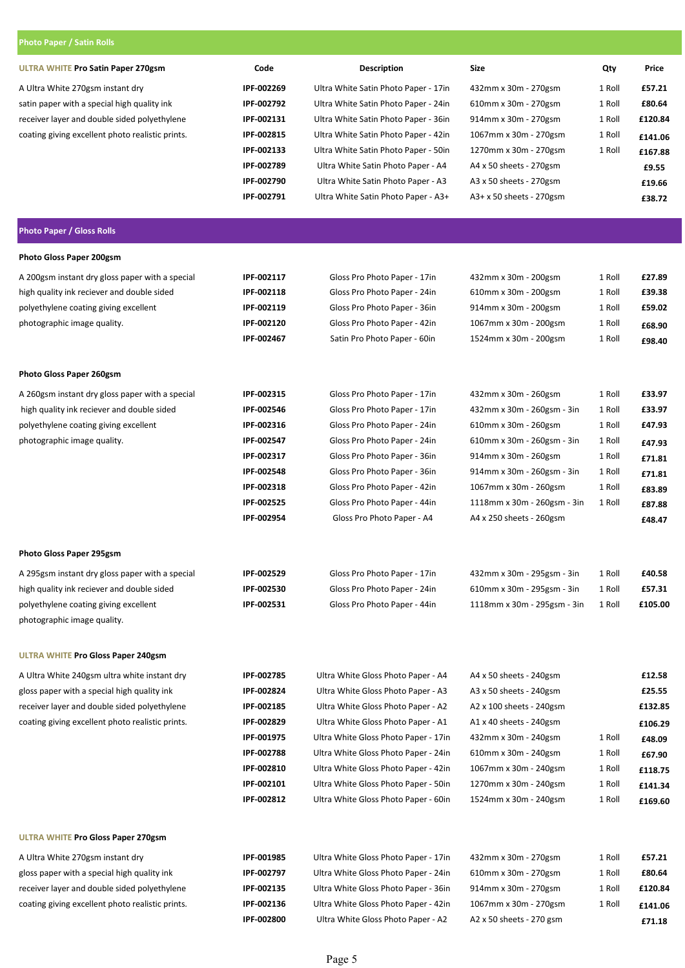| <b>Photo Paper / Satin Rolls</b>                 |                          |                                      |                                |        |         |
|--------------------------------------------------|--------------------------|--------------------------------------|--------------------------------|--------|---------|
| <b>ULTRA WHITE Pro Satin Paper 270gsm</b>        | Code                     | Description                          | Size                           | Qty    | Price   |
| A Ultra White 270gsm instant dry                 | IPF-002269               | Ultra White Satin Photo Paper - 17in | 432mm x 30m - 270gsm           | 1 Roll | £57.21  |
| satin paper with a special high quality ink      | IPF-002792               | Ultra White Satin Photo Paper - 24in | 610mm x 30m - 270gsm           | 1 Roll | £80.64  |
| receiver layer and double sided polyethylene     | IPF-002131               | Ultra White Satin Photo Paper - 36in | 914mm x 30m - 270gsm           | 1 Roll | £120.84 |
| coating giving excellent photo realistic prints. | IPF-002815               | Ultra White Satin Photo Paper - 42in | 1067mm x 30m - 270gsm          | 1 Roll | £141.06 |
|                                                  | IPF-002133               | Ultra White Satin Photo Paper - 50in | 1270mm x 30m - 270gsm          | 1 Roll | £167.88 |
|                                                  | IPF-002789               | Ultra White Satin Photo Paper - A4   | A4 x 50 sheets - 270gsm        |        | £9.55   |
|                                                  | IPF-002790               | Ultra White Satin Photo Paper - A3   | A3 x 50 sheets - 270gsm        |        | £19.66  |
|                                                  | IPF-002791               | Ultra White Satin Photo Paper - A3+  | A3+ x 50 sheets - 270gsm       |        | £38.72  |
| <b>Photo Paper / Gloss Rolls</b>                 |                          |                                      |                                |        |         |
| Photo Gloss Paper 200gsm                         |                          |                                      |                                |        |         |
| A 200gsm instant dry gloss paper with a special  | IPF-002117               | Gloss Pro Photo Paper - 17in         | 432mm x 30m - 200gsm           | 1 Roll | £27.89  |
| high quality ink reciever and double sided       | IPF-002118               | Gloss Pro Photo Paper - 24in         | 610mm x 30m - 200gsm           | 1 Roll | £39.38  |
| polyethylene coating giving excellent            | IPF-002119               | Gloss Pro Photo Paper - 36in         | 914mm x 30m - 200gsm           | 1 Roll | £59.02  |
| photographic image quality.                      | IPF-002120               | Gloss Pro Photo Paper - 42in         | 1067mm x 30m - 200gsm          | 1 Roll | £68.90  |
|                                                  | IPF-002467               | Satin Pro Photo Paper - 60in         | 1524mm x 30m - 200gsm          | 1 Roll | £98.40  |
| Photo Gloss Paper 260gsm                         |                          |                                      |                                |        |         |
| A 260gsm instant dry gloss paper with a special  | IPF-002315               | Gloss Pro Photo Paper - 17in         | 432mm x 30m - 260gsm           | 1 Roll | £33.97  |
| high quality ink reciever and double sided       | IPF-002546               | Gloss Pro Photo Paper - 17in         | 432mm x 30m - 260gsm - 3in     | 1 Roll | £33.97  |
| polyethylene coating giving excellent            | IPF-002316               | Gloss Pro Photo Paper - 24in         | 610mm x 30m - 260gsm           | 1 Roll | £47.93  |
| photographic image quality.                      | IPF-002547               | Gloss Pro Photo Paper - 24in         | 610mm x 30m - 260gsm - 3in     | 1 Roll | £47.93  |
|                                                  | IPF-002317               | Gloss Pro Photo Paper - 36in         | 914mm x 30m - 260gsm           | 1 Roll | £71.81  |
|                                                  | IPF-002548               | Gloss Pro Photo Paper - 36in         | 914mm x 30m - 260gsm - 3in     | 1 Roll | £71.81  |
|                                                  | IPF-002318               | Gloss Pro Photo Paper - 42in         | 1067mm x 30m - 260gsm          | 1 Roll | £83.89  |
|                                                  | IPF-002525               | Gloss Pro Photo Paper - 44in         | 1118mm x 30m - 260gsm - 3in    | 1 Roll | £87.88  |
|                                                  | IPF-002954               | Gloss Pro Photo Paper - A4           | A4 x 250 sheets - 260gsm       |        | £48.47  |
| Photo Gloss Paper 295gsm                         |                          |                                      |                                |        |         |
| A 295gsm instant dry gloss paper with a special  | IPF-002529               | Gloss Pro Photo Paper - 17in         | 432mm x 30m - 295gsm - 3in     | 1 Roll | £40.58  |
| high quality ink reciever and double sided       | IPF-002530               | Gloss Pro Photo Paper - 24in         | 610mm x 30m - 295gsm - 3in     | 1 Roll | £57.31  |
| polyethylene coating giving excellent            | IPF-002531               | Gloss Pro Photo Paper - 44in         | 1118mm x 30m - 295gsm - 3in    | 1 Roll | £105.00 |
| photographic image quality.                      |                          |                                      |                                |        |         |
| <b>ULTRA WHITE Pro Gloss Paper 240gsm</b>        |                          |                                      |                                |        |         |
| A Ultra White 240gsm ultra white instant dry     | IPF-002785               | Ultra White Gloss Photo Paper - A4   | A4 x 50 sheets - 240gsm        |        | £12.58  |
| gloss paper with a special high quality ink      | IPF-002824               | Ultra White Gloss Photo Paper - A3   | A3 x 50 sheets - 240gsm        |        | £25.55  |
| receiver layer and double sided polyethylene     | IPF-002185               | Ultra White Gloss Photo Paper - A2   | A2 x 100 sheets - 240gsm       |        | £132.85 |
| coating giving excellent photo realistic prints. | IPF-002829               | Ultra White Gloss Photo Paper - A1   | $A1 \times 40$ sheets - 240gsm |        | £106.29 |
|                                                  | IPF-001975               | Ultra White Gloss Photo Paper - 17in | 432mm x 30m - 240gsm           | 1 Roll | £48.09  |
|                                                  | IPF-002788               | Ultra White Gloss Photo Paper - 24in | 610mm x 30m - 240gsm           | 1 Roll | £67.90  |
|                                                  | IPF-002810               | Ultra White Gloss Photo Paper - 42in | 1067mm x 30m - 240gsm          | 1 Roll | £118.75 |
|                                                  | IPF-002101<br>IPF-002812 | Ultra White Gloss Photo Paper - 50in | 1270mm x 30m - 240gsm          | 1 Roll | £141.34 |
|                                                  |                          | Ultra White Gloss Photo Paper - 60in | 1524mm x 30m - 240gsm          | 1 Roll | £169.60 |
| <b>ULTRA WHITE Pro Gloss Paper 270gsm</b>        |                          |                                      |                                |        |         |
| A Ultra White 270gsm instant dry                 | IPF-001985               | Ultra White Gloss Photo Paper - 17in | 432mm x 30m - 270gsm           | 1 Roll | £57.21  |
| gloss paper with a special high quality ink      | IPF-002797               | Ultra White Gloss Photo Paper - 24in | 610mm x 30m - 270gsm           | 1 Roll | £80.64  |
| receiver layer and double sided polyethylene     | IPF-002135               | Ultra White Gloss Photo Paper - 36in | 914mm x 30m - 270gsm           | 1 Roll | £120.84 |
| coating giving excellent photo realistic prints. | IPF-002136               | Ultra White Gloss Photo Paper - 42in | 1067mm x 30m - 270gsm          | 1 Roll | £141.06 |
|                                                  | IPF-002800               | Ultra White Gloss Photo Paper - A2   | A2 x 50 sheets - 270 gsm       |        | £71.18  |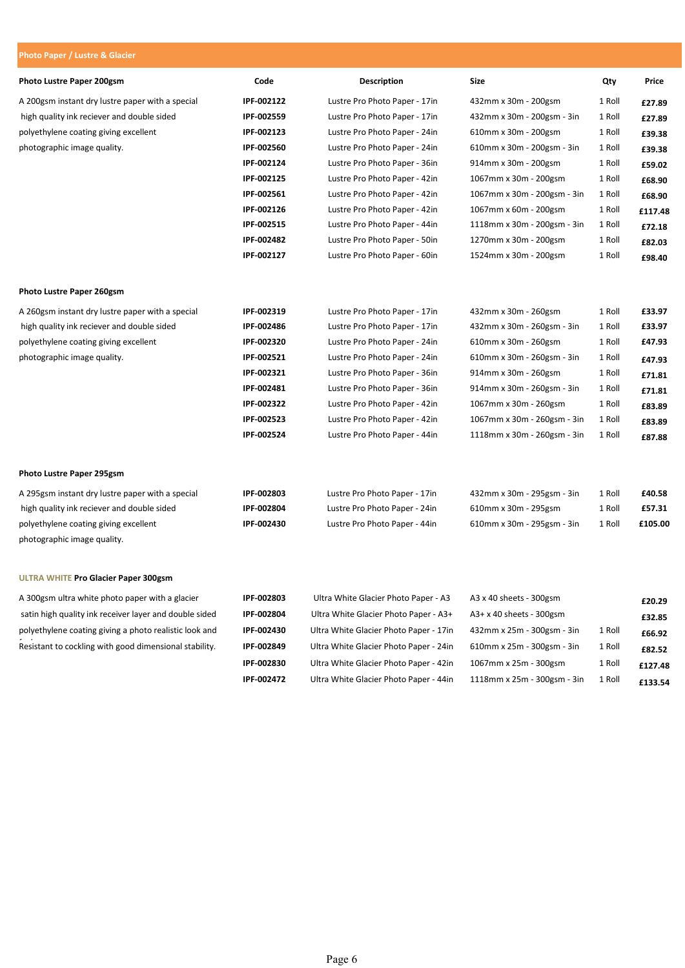#### Photo Paper / Lustre & Glacier Photo Lustre Paper 200gsm **Code** Code **Description** Size Size Qty Price A 200gsm instant dry lustre paper with a special **IPF-002122** Lustre Pro Photo Paper - 17in 432mm x 30m - 200gsm 1 Roll  $\frac{27}{89}$ high quality ink reciever and double sided **IPF-002559** Lustre Pro Photo Paper - 17in 432mm x 30m - 200gsm - 3in 1 Roll  $\frac{27.89}{\frac{27.89}{\frac{27.89}{\frac{27.89}{\frac{27.89}{\frac{27.89}{\frac{27.89}{\frac{27.89}{\frac{27.89}{\frac{27.89}{\frac{27.89}{\frac$ polyethylene coating giving excellent **IPF-002123** Lustre Pro Photo Paper - 24in 610mm x 30m - 200gsm 1 Roll **£39.38** photographic image quality. **IPF-002560** Lustre Pro Photo Paper - 24in 610mm x 30m - 200gsm - 3in 1 Roll £39.38 IPF-002124 Lustre Pro Photo Paper - 36in 914mm x 30m - 200gsm 1 Roll £59.02 IPF-002125 Lustre Pro Photo Paper - 42in 1067mm x 30m - 200gsm 1 Roll £68.90 IPF-002561 Lustre Pro Photo Paper - 42in 1067mm x 30m - 200gsm - 3in 1 Roll £68.90 IPF-002126 Lustre Pro Photo Paper - 42in 1067mm x 60m - 200gsm 1 Roll £117.48 IPF-002515 Lustre Pro Photo Paper - 44in 1118mm x 30m - 200gsm - 3in 1 Roll £72.18 IPF-002482 Lustre Pro Photo Paper - 50in 1270mm x 30m - 200gsm 1 Roll £82.03 IPF-002127 Lustre Pro Photo Paper - 60in 1524mm x 30m - 200gsm 1 Roll £98.40 Photo Lustre Paper 260gsm A 260gsm instant dry lustre paper with a special **IPF-002319** Lustre Pro Photo Paper - 17in 432mm x 30m - 260gsm 1 Roll **£33.97** high quality ink reciever and double sided **IPF-002486** Lustre Pro Photo Paper - 17in 432mm x 30m - 260gsm - 3in 1 Roll **£33.97** polyethylene coating giving excellent IPF-002320 Lustre Pro Photo Paper - 24in 610mm x 30m - 260gsm 1 Roll £47.93 photographic image quality. **IPF-002521** Lustre Pro Photo Paper - 24in 610mm x 30m - 260gsm - 3in 1 Roll  $f$ 47.93 IPF-002321 Lustre Pro Photo Paper - 36in 914mm x 30m - 260gsm 1 Roll £71.81 IPF-002481 Lustre Pro Photo Paper - 36in 914mm x 30m - 260gsm - 3in 1 Roll £71.81 IPF-002322 Lustre Pro Photo Paper - 42in 1067mm x 30m - 260gsm 1 Roll £83.89 IPF-002523 Lustre Pro Photo Paper - 42in 1067mm x 30m - 260gsm - 3in 1 Roll £83.89 IPF-002524 Lustre Pro Photo Paper - 44in 1118mm x 30m - 260gsm - 3in 1 Roll £87.88 Photo Lustre Paper 295gsm A 295gsm instant dry lustre paper with a special **IPF-002803** Lustre Pro Photo Paper - 17in 432mm x 30m - 295gsm - 3in 1 Roll £40.58 high quality ink reciever and double sided **IPF-002804** Lustre Pro Photo Paper - 24in 610mm x 30m - 295gsm 1 Roll **£57.31** polyethylene coating giving excellent **IPF-002430** Lustre Pro Photo Paper - 44in 610mm x 30m - 295gsm - 3in 1 Roll £105.00 photographic image quality. ULTRA WHITE Pro Glacier Paper 300gsm A 300gsm ultra white photo paper with a glacier **IPF-002803** Ultra White Glacier Photo Paper - A3 A3 x 40 sheets - 300gsm **£20.29** satin high quality ink receiver layer and double sided IPF-002804 Ultra White Glacier Photo Paper - A3+ A3+ x 40 sheets - 300gsm  $\epsilon$ 32.85 polyethylene coating giving a photo realistic look and IPF-002430 Ultra White Glacier Photo Paper - 17in 432mm x 25m - 300gsm - 3in 1 Roll  $66.92$

Fesistant to cockling with good dimensional stability. **IPF-002849** Ultra White Glacier Photo Paper - 24in 610mm x 25m - 300gsm - 3in 1 Roll **£82.52** 

IPF-002830 Ultra White Glacier Photo Paper - 42in 1067mm x 25m - 300gsm 1 Roll £127.48 IPF-002472 Ultra White Glacier Photo Paper - 44in 1118mm x 25m - 300gsm - 3in 1 Roll  $f133.54$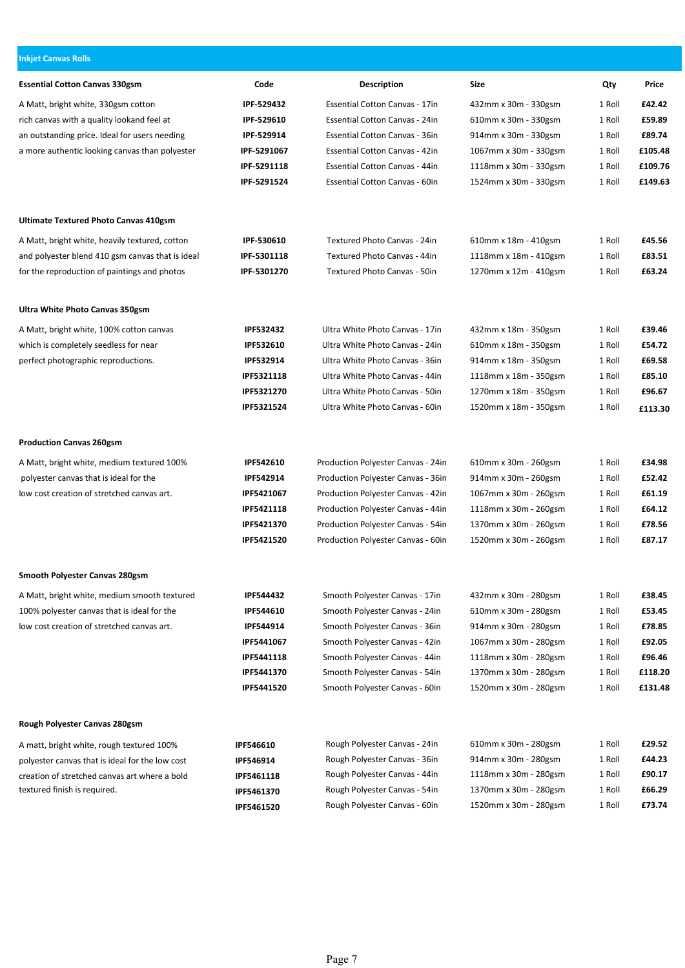| <b>Inkjet Canvas Rolls</b>                       |                    |                                       |                       |        |         |
|--------------------------------------------------|--------------------|---------------------------------------|-----------------------|--------|---------|
| <b>Essential Cotton Canvas 330gsm</b>            | Code               | <b>Description</b>                    | <b>Size</b>           | Qty    | Price   |
| A Matt, bright white, 330gsm cotton              | IPF-529432         | <b>Essential Cotton Canvas - 17in</b> | 432mm x 30m - 330gsm  | 1 Roll | £42.42  |
| rich canvas with a quality lookand feel at       | IPF-529610         | Essential Cotton Canvas - 24in        | 610mm x 30m - 330gsm  | 1 Roll | £59.89  |
| an outstanding price. Ideal for users needing    | IPF-529914         | Essential Cotton Canvas - 36in        | 914mm x 30m - 330gsm  | 1 Roll | £89.74  |
| a more authentic looking canvas than polyester   | <b>IPF 5291067</b> | <b>Essential Cotton Canvas - 42in</b> | 1067mm x 30m - 330gsm | 1 Roll | £105.48 |
|                                                  | IPF 5291118        | <b>Essential Cotton Canvas - 44in</b> | 1118mm x 30m - 330gsm | 1 Roll | £109.76 |
|                                                  | IPF-5291524        | Essential Cotton Canvas - 60in        | 1524mm x 30m - 330gsm | 1 Roll | £149.63 |
| Ultimate Textured Photo Canvas 410gsm            |                    |                                       |                       |        |         |
| A Matt, bright white, heavily textured, cotton   | IPF-530610         | Textured Photo Canvas - 24in          | 610mm x 18m - 410gsm  | 1 Roll | £45.56  |
| and polyester blend 410 gsm canvas that is ideal | IPF 5301118        | Textured Photo Canvas - 44in          | 1118mm x 18m - 410gsm | 1 Roll | £83.51  |
| for the reproduction of paintings and photos     | IPF-5301270        | Textured Photo Canvas - 50in          | 1270mm x 12m - 410gsm | 1 Roll | £63.24  |
| Ultra White Photo Canvas 350gsm                  |                    |                                       |                       |        |         |
| A Matt, bright white, 100% cotton canvas         | <b>IPF532432</b>   | Ultra White Photo Canvas - 17in       | 432mm x 18m - 350gsm  | 1 Roll | £39.46  |
| which is completely seedless for near            | <b>IPF532610</b>   | Ultra White Photo Canvas - 24in       | 610mm x 18m - 350gsm  | 1 Roll | £54.72  |
| perfect photographic reproductions.              | IPF532914          | Ultra White Photo Canvas - 36in       | 914mm x 18m - 350gsm  | 1 Roll | £69.58  |
|                                                  | IPF5321118         | Ultra White Photo Canvas - 44in       | 1118mm x 18m - 350gsm | 1 Roll | £85.10  |
|                                                  | IPF5321270         | Ultra White Photo Canvas - 50in       | 1270mm x 18m - 350gsm | 1 Roll | £96.67  |
|                                                  | IPF5321524         | Ultra White Photo Canvas - 60in       | 1520mm x 18m - 350gsm | 1 Roll | £113.30 |
| <b>Production Canvas 260gsm</b>                  |                    |                                       |                       |        |         |
| A Matt, bright white, medium textured 100%       | <b>IPF542610</b>   | Production Polyester Canvas - 24in    | 610mm x 30m - 260gsm  | 1 Roll | £34.98  |
| polyester canvas that is ideal for the           | <b>IPF542914</b>   | Production Polyester Canvas - 36in    | 914mm x 30m - 260gsm  | 1 Roll | £52.42  |
| low cost creation of stretched canvas art.       | IPF5421067         | Production Polyester Canvas - 42in    | 1067mm x 30m - 260gsm | 1 Roll | £61.19  |
|                                                  | IPF5421118         | Production Polyester Canvas - 44in    | 1118mm x 30m - 260gsm | 1 Roll | £64.12  |
|                                                  | IPF5421370         | Production Polyester Canvas - 54in    | 1370mm x 30m - 260gsm | 1 Roll | £78.56  |
|                                                  | IPF5421520         | Production Polyester Canvas - 60in    | 1520mm x 30m - 260gsm | 1 Roll | £87.17  |
| Smooth Polyester Canvas 280gsm                   |                    |                                       |                       |        |         |
| A Matt, bright white, medium smooth textured     | <b>IPF544432</b>   | Smooth Polyester Canvas - 17in        | 432mm x 30m - 280gsm  | 1 Roll | £38.45  |
| 100% polyester canvas that is ideal for the      | IPF544610          | Smooth Polyester Canvas - 24in        | 610mm x 30m - 280gsm  | 1 Roll | £53.45  |
| low cost creation of stretched canvas art.       | IPF544914          | Smooth Polyester Canvas - 36in        | 914mm x 30m - 280gsm  | 1 Roll | £78.85  |
|                                                  | IPF5441067         | Smooth Polyester Canvas - 42in        | 1067mm x 30m - 280gsm | 1 Roll | £92.05  |
|                                                  | IPF5441118         | Smooth Polyester Canvas - 44in        | 1118mm x 30m - 280gsm | 1 Roll | £96.46  |
|                                                  | IPF5441370         | Smooth Polyester Canvas - 54in        | 1370mm x 30m - 280gsm | 1 Roll | £118.20 |
|                                                  | IPF5441520         | Smooth Polyester Canvas - 60in        | 1520mm x 30m - 280gsm | 1 Roll | £131.48 |
| Rough Polyester Canvas 280gsm                    |                    |                                       |                       |        |         |
| A matt, bright white, rough textured 100%        | IPF546610          | Rough Polyester Canvas - 24in         | 610mm x 30m - 280gsm  | 1 Roll | £29.52  |
| polyester canvas that is ideal for the low cost  | IPF546914          | Rough Polyester Canvas - 36in         | 914mm x 30m - 280gsm  | 1 Roll | £44.23  |
| creation of stretched canvas art where a bold    | IPF5461118         | Rough Polyester Canvas - 44in         | 1118mm x 30m - 280gsm | 1 Roll | £90.17  |
| textured finish is required.                     | IPF5461370         | Rough Polyester Canvas - 54in         | 1370mm x 30m - 280gsm | 1 Roll | £66.29  |
|                                                  | IPF5461520         | Rough Polyester Canvas - 60in         | 1520mm x 30m - 280gsm | 1 Roll | £73.74  |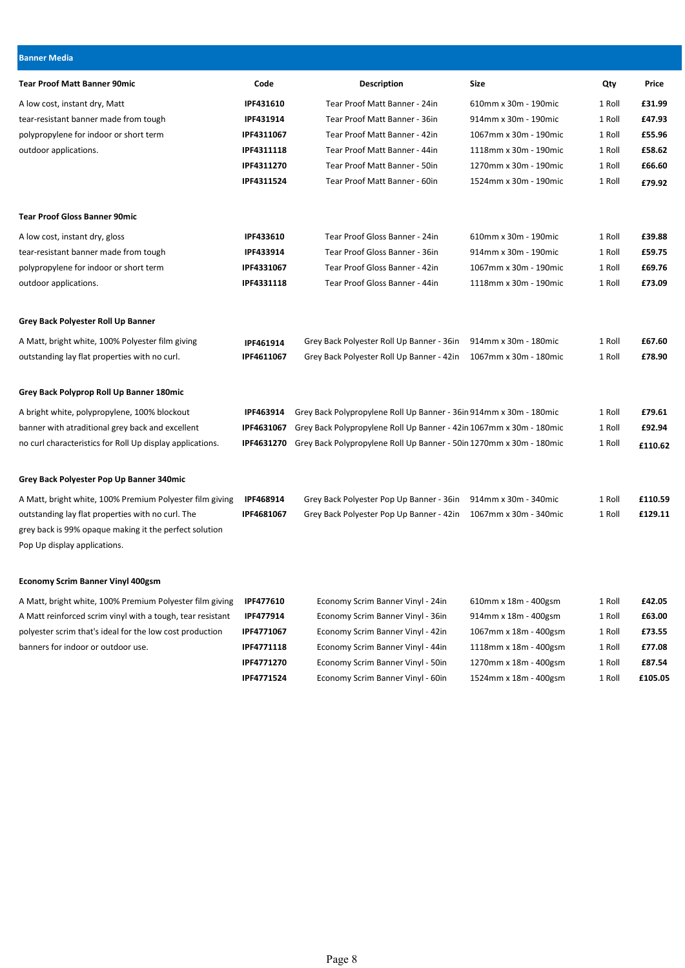| <b>Banner Media</b>                                                                    |                  |                                                                     |                       |        |         |
|----------------------------------------------------------------------------------------|------------------|---------------------------------------------------------------------|-----------------------|--------|---------|
| <b>Tear Proof Matt Banner 90mic</b>                                                    | Code             | <b>Description</b>                                                  | <b>Size</b>           | Qty    | Price   |
| A low cost, instant dry, Matt                                                          | IPF431610        | Tear Proof Matt Banner - 24in                                       | 610mm x 30m - 190mic  | 1 Roll | £31.99  |
| tear-resistant banner made from tough                                                  | IPF431914        | Tear Proof Matt Banner - 36in                                       | 914mm x 30m - 190mic  | 1 Roll | £47.93  |
| polypropylene for indoor or short term                                                 | IPF4311067       | Tear Proof Matt Banner - 42in                                       | 1067mm x 30m - 190mic | 1 Roll | £55.96  |
| outdoor applications.                                                                  | IPF4311118       | Tear Proof Matt Banner - 44in                                       | 1118mm x 30m - 190mic | 1 Roll | £58.62  |
|                                                                                        | IPF4311270       | Tear Proof Matt Banner - 50in                                       | 1270mm x 30m - 190mic | 1 Roll | £66.60  |
|                                                                                        | IPF4311524       | Tear Proof Matt Banner - 60in                                       | 1524mm x 30m - 190mic | 1 Roll | £79.92  |
| <b>Tear Proof Gloss Banner 90mic</b>                                                   |                  |                                                                     |                       |        |         |
| A low cost, instant dry, gloss                                                         | IPF433610        | Tear Proof Gloss Banner - 24in                                      | 610mm x 30m - 190mic  | 1 Roll | £39.88  |
| tear-resistant banner made from tough                                                  | IPF433914        | Tear Proof Gloss Banner - 36in                                      | 914mm x 30m - 190mic  | 1 Roll | £59.75  |
| polypropylene for indoor or short term                                                 | IPF4331067       | Tear Proof Gloss Banner - 42in                                      | 1067mm x 30m - 190mic | 1 Roll | £69.76  |
| outdoor applications.                                                                  | IPF4331118       | Tear Proof Gloss Banner - 44in                                      | 1118mm x 30m - 190mic | 1 Roll | £73.09  |
| Grey Back Polyester Roll Up Banner                                                     |                  |                                                                     |                       |        |         |
| A Matt, bright white, 100% Polyester film giving                                       | IPF461914        | Grey Back Polyester Roll Up Banner - 36in                           | 914mm x 30m - 180mic  | 1 Roll | £67.60  |
| outstanding lay flat properties with no curl.                                          | IPF4611067       | Grey Back Polyester Roll Up Banner - 42in                           | 1067mm x 30m - 180mic | 1 Roll | £78.90  |
| Grey Back Polyprop Roll Up Banner 180mic                                               |                  |                                                                     |                       |        |         |
| A bright white, polypropylene, 100% blockout                                           | <b>IPF463914</b> | Grey Back Polypropylene Roll Up Banner - 36in 914mm x 30m - 180mic  |                       | 1 Roll | £79.61  |
| banner with atraditional grey back and excellent                                       | IPF4631067       | Grey Back Polypropylene Roll Up Banner - 42in 1067mm x 30m - 180mic |                       | 1 Roll | £92.94  |
| no curl characteristics for Roll Up display applications.                              | IPF4631270       | Grey Back Polypropylene Roll Up Banner - 50in 1270mm x 30m - 180mic |                       | 1 Roll | £110.62 |
| Grey Back Polyester Pop Up Banner 340mic                                               |                  |                                                                     |                       |        |         |
| A Matt, bright white, 100% Premium Polyester film giving                               | <b>IPF468914</b> | Grey Back Polyester Pop Up Banner - 36in                            | 914mm x 30m - 340mic  | 1 Roll | £110.59 |
| outstanding lay flat properties with no curl. The                                      | IPF4681067       | Grey Back Polyester Pop Up Banner - 42in                            | 1067mm x 30m - 340mic | 1 Roll | £129.11 |
| grey back is 99% opaque making it the perfect solution<br>Pop Up display applications. |                  |                                                                     |                       |        |         |
| <b>Economy Scrim Banner Vinyl 400gsm</b>                                               |                  |                                                                     |                       |        |         |
| A Matt, bright white, 100% Premium Polyester film giving                               | IPF477610        | Economy Scrim Banner Vinyl - 24in                                   | 610mm x 18m - 400gsm  | 1 Roll | £42.05  |
| A Matt reinforced scrim vinyl with a tough, tear resistant                             | IPF477914        | Economy Scrim Banner Vinyl - 36in                                   | 914mm x 18m - 400gsm  | 1 Roll | £63.00  |
| polyester scrim that's ideal for the low cost production                               | IPF4771067       | Economy Scrim Banner Vinyl - 42in                                   | 1067mm x 18m - 400gsm | 1 Roll | £73.55  |
| banners for indoor or outdoor use.                                                     | IPF4771118       | Economy Scrim Banner Vinyl - 44in                                   | 1118mm x 18m - 400gsm | 1 Roll | £77.08  |
|                                                                                        | IPF4771270       | Economy Scrim Banner Vinyl - 50in                                   | 1270mm x 18m - 400gsm | 1 Roll | £87.54  |
|                                                                                        | IPF4771524       | Economy Scrim Banner Vinyl - 60in                                   | 1524mm x 18m - 400gsm | 1 Roll | £105.05 |